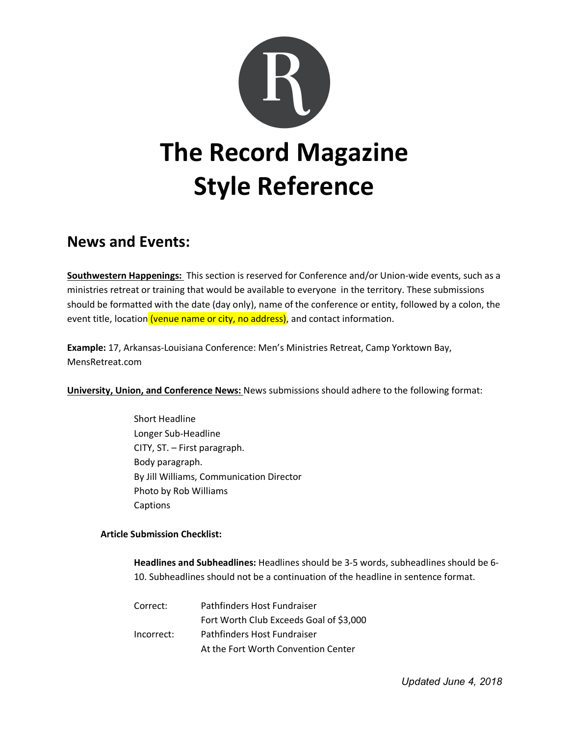

# **News and Events:**

**Southwestern Happenings:** This section is reserved for Conference and/or Union-wide events, such as a ministries retreat or training that would be available to everyone in the territory. These submissions should be formatted with the date (day only), name of the conference or entity, followed by a colon, the event title, location (venue name or city, no address), and contact information.

**Example:** 17, Arkansas-Louisiana Conference: Men's Ministries Retreat, Camp Yorktown Bay, MensRetreat.com

**University, Union, and Conference News:** News submissions should adhere to the following format:

Short Headline Longer Sub-Headline CITY, ST. – First paragraph. Body paragraph. By Jill Williams, Communication Director Photo by Rob Williams Captions

### **Article Submission Checklist:**

**Headlines and Subheadlines:** Headlines should be 3-5 words, subheadlines should be 6- 10. Subheadlines should not be a continuation of the headline in sentence format.

| Correct:   | Pathfinders Host Fundraiser             |
|------------|-----------------------------------------|
|            | Fort Worth Club Exceeds Goal of \$3,000 |
| Incorrect: | Pathfinders Host Fundraiser             |
|            | At the Fort Worth Convention Center     |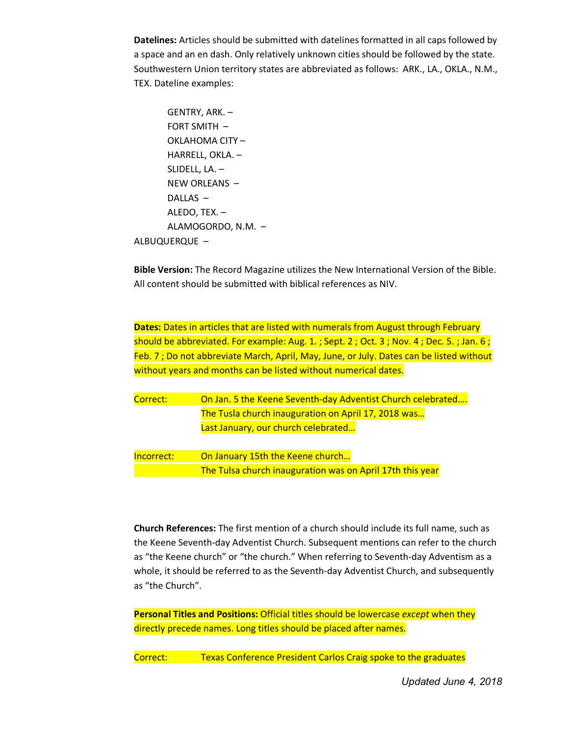**Datelines:** Articles should be submitted with datelines formatted in all caps followed by a space and an en dash. Only relatively unknown cities should be followed by the state. Southwestern Union territory states are abbreviated as follows: ARK., LA., OKLA., N.M., TEX. Dateline examples:

```
GENTRY, ARK. –
       FORT SMITH –
       OKLAHOMA CITY –
       HARRELL, OKLA. –
       SLIDELL, LA. –
       NEW ORLEANS –
       DALLAS –
       ALEDO, TEX. –
       ALAMOGORDO, N.M. –
ALBUQUERQUE –
```
**Bible Version:** The Record Magazine utilizes the New International Version of the Bible. All content should be submitted with biblical references as NIV.

**Dates:** Dates in articles that are listed with numerals from August through February should be abbreviated. For example: Aug. 1. ; Sept. 2 ; Oct. 3 ; Nov. 4 ; Dec. 5. ; Jan. 6 ; Feb. 7 ; Do not abbreviate March, April, May, June, or July. Dates can be listed without without years and months can be listed without numerical dates.

| Correct: | On Jan. 5 the Keene Seventh-day Adventist Church celebrated |
|----------|-------------------------------------------------------------|
|          | The Tusla church inauguration on April 17, 2018 was         |
|          | Last January, our church celebrated                         |

Incorrect: On January 15th the Keene church… The Tulsa church inauguration was on April 17th this year

**Church References:** The first mention of a church should include its full name, such as the Keene Seventh-day Adventist Church. Subsequent mentions can refer to the church as "the Keene church" or "the church." When referring to Seventh-day Adventism as a whole, it should be referred to as the Seventh-day Adventist Church, and subsequently as "the Church".

**Personal Titles and Positions:** Official titles should be lowercase *except* when they directly precede names. Long titles should be placed after names.

Correct: Texas Conference President Carlos Craig spoke to the graduates

*Updated June 4, 2018*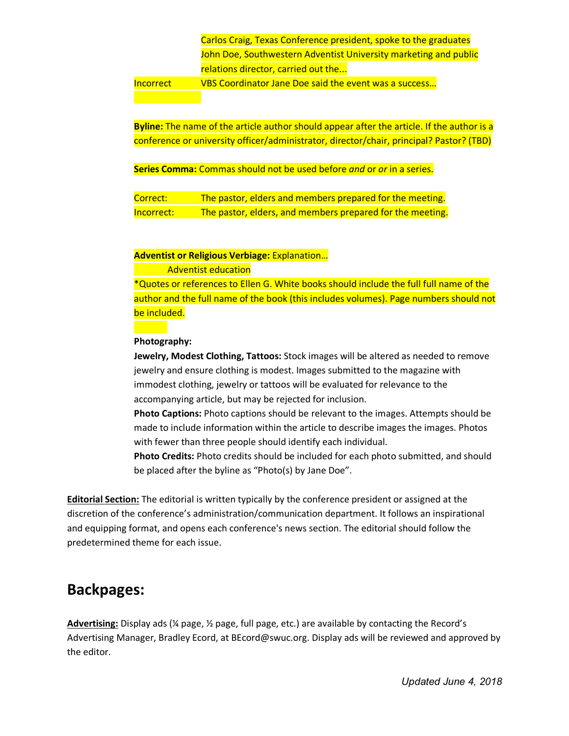Carlos Craig, Texas Conference president, spoke to the graduates John Doe, Southwestern Adventist University marketing and public relations director, carried out the...

Incorrect VBS Coordinator Jane Doe said the event was a success…

**Byline:** The name of the article author should appear after the article. If the author is a conference or university officer/administrator, director/chair, principal? Pastor? (TBD)

**Series Comma:** Commas should not be used before *and* or *or* in a series.

Correct: The pastor, elders and members prepared for the meeting. Incorrect: The pastor, elders, and members prepared for the meeting.

**Adventist or Religious Verbiage:** Explanation…

Adventist education

\*Quotes or references to Ellen G. White books should include the full full name of the author and the full name of the book (this includes volumes). Page numbers should not be included.

#### **Photography:**

**Jewelry, Modest Clothing, Tattoos:** Stock images will be altered as needed to remove jewelry and ensure clothing is modest. Images submitted to the magazine with immodest clothing, jewelry or tattoos will be evaluated for relevance to the accompanying article, but may be rejected for inclusion.

**Photo Captions:** Photo captions should be relevant to the images. Attempts should be made to include information within the article to describe images the images. Photos with fewer than three people should identify each individual.

**Photo Credits:** Photo credits should be included for each photo submitted, and should be placed after the byline as "Photo(s) by Jane Doe".

**Editorial Section:** The editorial is written typically by the conference president or assigned at the discretion of the conference's administration/communication department. It follows an inspirational and equipping format, and opens each conference's news section. The editorial should follow the predetermined theme for each issue.

## **Backpages:**

**Advertising:** Display ads (¼ page, ½ page, full page, etc.) are available by contacting the Record's Advertising Manager, Bradley Ecord, at BEcord@swuc.org. Display ads will be reviewed and approved by the editor.

*Updated June 4, 2018*